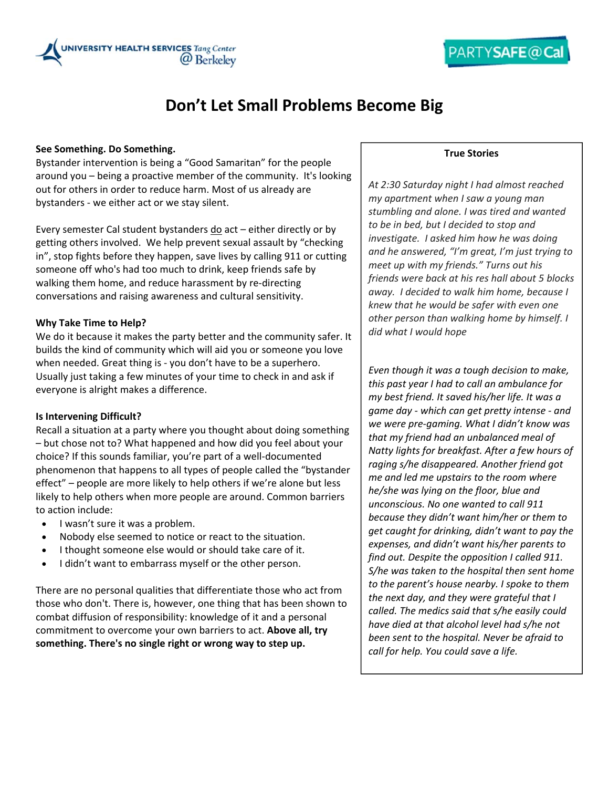

## **Don't Let Small Problems Become Big**

#### **See Something. Do Something.**

Bystander intervention is being a "Good Samaritan" for the people around you – being a proactive member of the community. It's looking out for others in order to reduce harm. Most of us already are bystanders ‐ we either act or we stay silent.

Every semester Cal student bystanders do act – either directly or by getting others involved. We help prevent sexual assault by "checking in", stop fights before they happen, save lives by calling 911 or cutting someone off who's had too much to drink, keep friends safe by walking them home, and reduce harassment by re-directing conversations and raising awareness and cultural sensitivity.

#### **Why Take Time to Help?**

We do it because it makes the party better and the community safer. It builds the kind of community which will aid you or someone you love when needed. Great thing is ‐ you don't have to be a superhero. Usually just taking a few minutes of your time to check in and ask if everyone is alright makes a difference.

#### **Is Intervening Difficult?**

Recall a situation at a party where you thought about doing something – but chose not to? What happened and how did you feel about your choice? If this sounds familiar, you're part of a well‐documented phenomenon that happens to all types of people called the "bystander effect" – people are more likely to help others if we're alone but less likely to help others when more people are around. Common barriers to action include:

- I wasn't sure it was a problem.
- Nobody else seemed to notice or react to the situation.
- I thought someone else would or should take care of it.
- I didn't want to embarrass myself or the other person.

There are no personal qualities that differentiate those who act from those who don't. There is, however, one thing that has been shown to combat diffusion of responsibility: knowledge of it and a personal commitment to overcome your own barriers to act. **Above all, try something. There's no single right or wrong way to step up.**

#### **True Stories**

*At 2:30 Saturday night I had almost reached my apartment when I saw a young man stumbling and alone. I was tired and wanted to be in bed, but I decided to stop and investigate. I asked him how he was doing and he answered, "I'm great, I'm just trying to meet up with my friends." Turns out his friends were back at his res hall about 5 blocks away. I decided to walk him home, because I knew that he would be safer with even one other person than walking home by himself. I did what I would hope* 

*Even though it was a tough decision to make, this past year I had to call an ambulance for my best friend. It saved his/her life. It was a game day ‐ which can get pretty intense ‐ and we were pre‐gaming. What I didn't know was that my friend had an unbalanced meal of Natty lights for breakfast. After a few hours of raging s/he disappeared. Another friend got me and led me upstairs to the room where he/she was lying on the floor, blue and unconscious. No one wanted to call 911 because they didn't want him/her or them to get caught for drinking, didn't want to pay the expenses, and didn't want his/her parents to find out. Despite the opposition I called 911. S/he was taken to the hospital then sent home to the parent's house nearby. I spoke to them the next day, and they were grateful that I called. The medics said that s/he easily could have died at that alcohol level had s/he not been sent to the hospital. Never be afraid to call for help. You could save a life.*